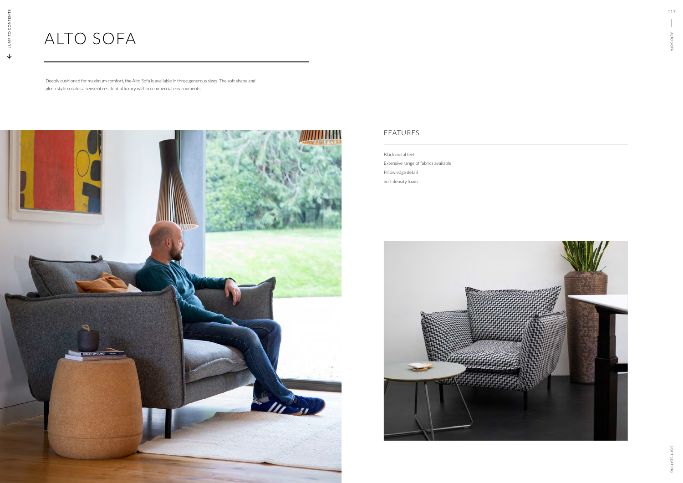## ALTO SOFA

Deeply cushioned for maximum comfort, the Alto Sofa is available in three generous sizes. The soft shape and plush style creates a sense of residential luxury within commercial environments.



Black metal feet Extensive range of fabrics available Pillow edge detail Soft density foam



## FEATURES